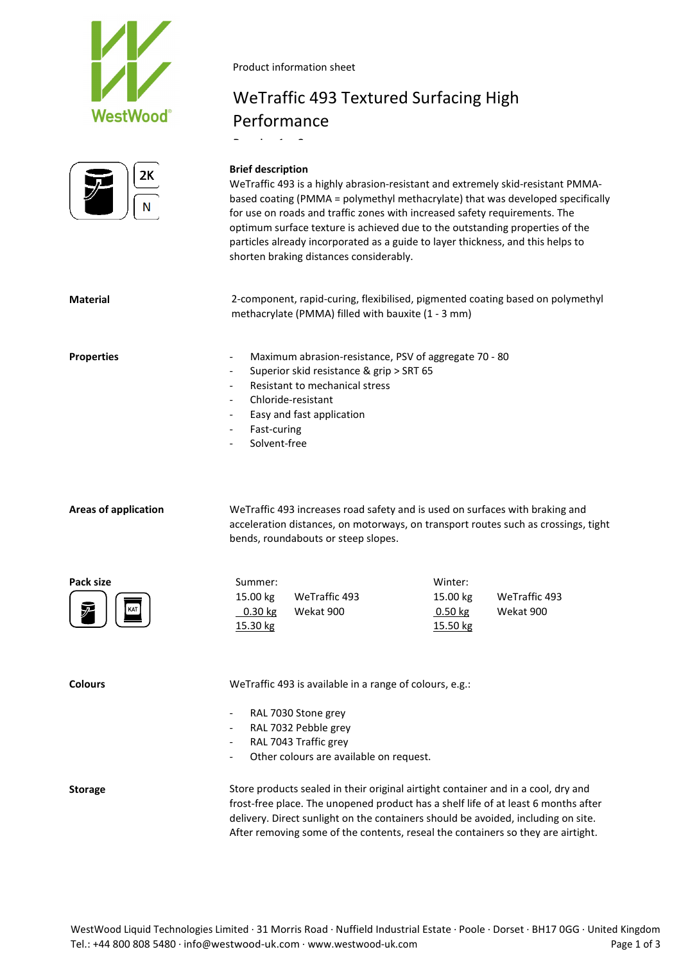



Product information sheet

# WeTraffic 493 Textured Surfacing High Performance

B i 1 3

#### **Brief description**

WeTraffic 493 is a highly abrasion-resistant and extremely skid-resistant PMMAbased coating (PMMA = polymethyl methacrylate) that was developed specifically for use on roads and traffic zones with increased safety requirements. The optimum surface texture is achieved due to the outstanding properties of the particles already incorporated as a guide to layer thickness, and this helps to shorten braking distances considerably.

**Material** 2-component, rapid-curing, flexibilised, pigmented coating based on polymethyl methacrylate (PMMA) filled with bauxite (1 - 3 mm)

**Properties** - Maximum abrasion-resistance, PSV of aggregate 70 - 80

- Superior skid resistance & grip > SRT 65
- Resistant to mechanical stress
- Chloride-resistant
- Easy and fast application
- Fast-curing
- Solvent-free

**Areas of application** WeTraffic 493 increases road safety and is used on surfaces with braking and acceleration distances, on motorways, on transport routes such as crossings, tight bends, roundabouts or steep slopes.

**Pack size** Summer: Winter: 15.00 kg WeTraffic 493 15.00 kg WeTraffic 493 0.30 kg 15.30 kg Wekat 900 0.50 kg 15.50 kg Wekat 900

**Colours** WeTraffic 493 is available in a range of colours, e.g.:

- RAL 7030 Stone grey
- RAL 7032 Pebble grey
- RAL 7043 Traffic grey
- Other colours are available on request.

**Storage** Store products sealed in their original airtight container and in a cool, dry and frost-free place. The unopened product has a shelf life of at least 6 months after delivery. Direct sunlight on the containers should be avoided, including on site. After removing some of the contents, reseal the containers so they are airtight.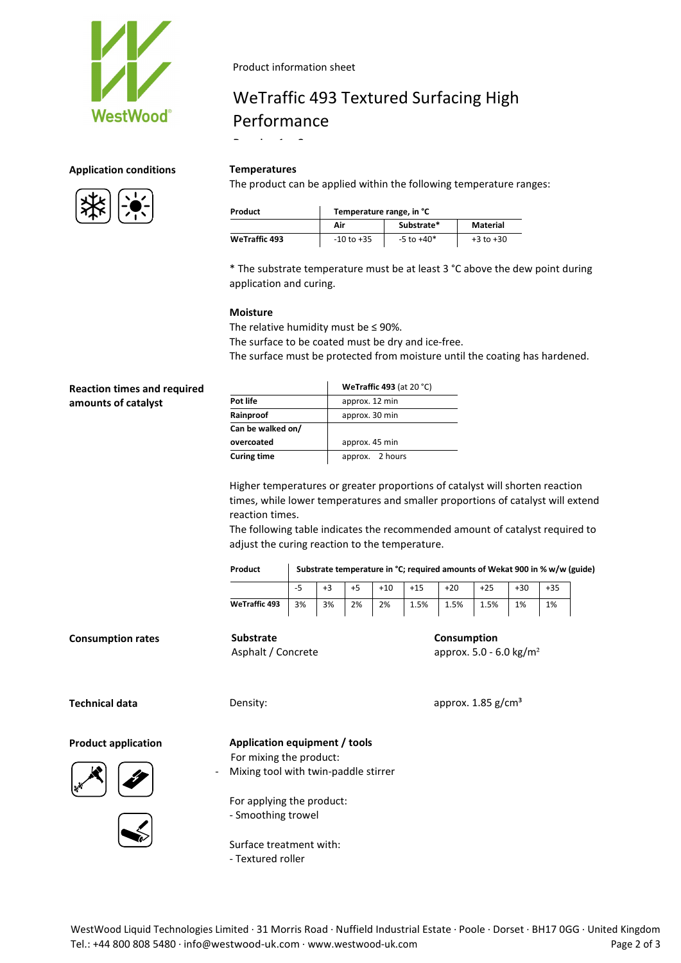

#### Product information sheet

# WeTraffic 493 Textured Surfacing High Performance

B i 1 3

The product can be applied within the following temperature ranges:

| Product              | Temperature range, in °C |                |               |  |  |
|----------------------|--------------------------|----------------|---------------|--|--|
|                      | Air                      | Substrate*     | Material      |  |  |
| <b>WeTraffic 493</b> | $-10$ to $+35$           | $-5$ to $+40*$ | $+3$ to $+30$ |  |  |

\* The substrate temperature must be at least 3 °C above the dew point during application and curing.

#### **Moisture**

The relative humidity must be  $\leq$  90%. The surface to be coated must be dry and ice-free. The surface must be protected from moisture until the coating has hardened.

| <b>Reaction times and required</b> |                    | <b>WeTraffic 493</b> (at 20 $°C$ ) |  |  |
|------------------------------------|--------------------|------------------------------------|--|--|
| amounts of catalyst                | Pot life           | approx. 12 min                     |  |  |
|                                    | Rainproof          | approx. 30 min                     |  |  |
|                                    | Can be walked on/  |                                    |  |  |
|                                    | overcoated         | approx. 45 min                     |  |  |
|                                    | <b>Curing time</b> | 2 hours<br>approx.                 |  |  |

Higher temperatures or greater proportions of catalyst will shorten reaction times, while lower temperatures and smaller proportions of catalyst will extend reaction times.

The following table indicates the recommended amount of catalyst required to adjust the curing reaction to the temperature.

**Product Substrate temperature in °C; required amounts of Wekat 900 in % w/w (guide)**

|               |    | $+3$ |    |    | $+5$ $+10$ $+15$ $+20$ $+25$ | $+30$ | $+35$ |
|---------------|----|------|----|----|------------------------------|-------|-------|
| WeTraffic 493 | 3% | 3%   | 2% | 2% | $1.5\%$ 1.5% 1.5%            | 1%    | 1%    |

**Consumption rates Substrate**

**Technical data Density: Density: Construction Density: Density: Construction Density: Construction Density: Construction Density: Construction Density: Construction Density: Construction**

approx. 5.0 - 6.0 kg/m²

**Consumption**





**Product application Application equipment / tools**

For mixing the product:

Asphalt / Concrete

Mixing tool with twin-paddle stirrer

For applying the product: - Smoothing trowel

Surface treatment with: - Textured roller

## **Application conditions Temperatures**